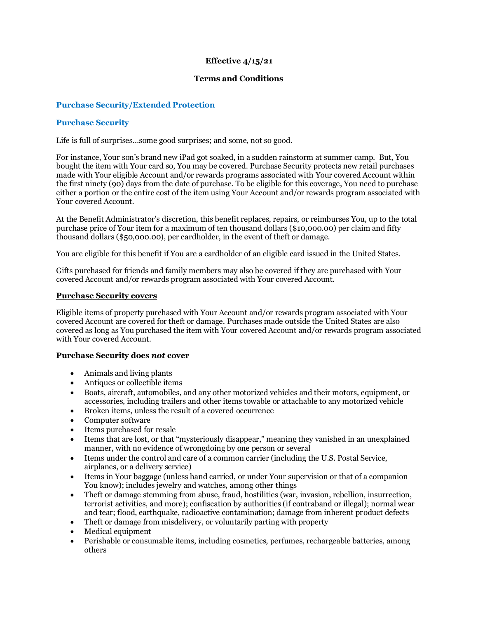# **Effective 4/15/21**

### **Terms and Conditions**

# **Purchase Security/Extended Protection**

### **Purchase Security**

Life is full of surprises…some good surprises; and some, not so good.

For instance, Your son's brand new iPad got soaked, in a sudden rainstorm at summer camp. But, You bought the item with Your card so, You may be covered. Purchase Security protects new retail purchases made with Your eligible Account and/or rewards programs associated with Your covered Account within the first ninety (90) days from the date of purchase. To be eligible for this coverage, You need to purchase either a portion or the entire cost of the item using Your Account and/or rewards program associated with Your covered Account.

At the Benefit Administrator's discretion, this benefit replaces, repairs, or reimburses You, up to the total purchase price of Your item for a maximum of ten thousand dollars (\$10,000.00) per claim and fifty thousand dollars (\$50,000.00), per cardholder, in the event of theft or damage.

You are eligible for this benefit if You are a cardholder of an eligible card issued in the United States.

Gifts purchased for friends and family members may also be covered if they are purchased with Your covered Account and/or rewards program associated with Your covered Account.

#### **Purchase Security covers**

Eligible items of property purchased with Your Account and/or rewards program associated with Your covered Account are covered for theft or damage. Purchases made outside the United States are also covered as long as You purchased the item with Your covered Account and/or rewards program associated with Your covered Account.

#### **Purchase Security does** *not* **cover**

- Animals and living plants
- Antiques or collectible items
- Boats, aircraft, automobiles, and any other motorized vehicles and their motors, equipment, or accessories, including trailers and other items towable or attachable to any motorized vehicle
- Broken items, unless the result of a covered occurrence
- Computer software
- Items purchased for resale
- Items that are lost, or that "mysteriously disappear," meaning they vanished in an unexplained manner, with no evidence of wrongdoing by one person or several
- Items under the control and care of a common carrier (including the U.S. Postal Service, airplanes, or a delivery service)
- Items in Your baggage (unless hand carried, or under Your supervision or that of a companion You know); includes jewelry and watches, among other things
- Theft or damage stemming from abuse, fraud, hostilities (war, invasion, rebellion, insurrection, terrorist activities, and more); confiscation by authorities (if contraband or illegal); normal wear and tear; flood, earthquake, radioactive contamination; damage from inherent product defects
- Theft or damage from misdelivery, or voluntarily parting with property
- Medical equipment
- Perishable or consumable items, including cosmetics, perfumes, rechargeable batteries, among others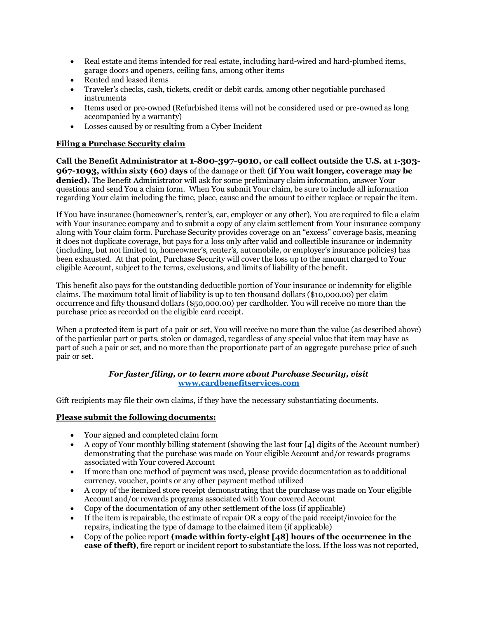- Real estate and items intended for real estate, including hard-wired and hard-plumbed items, garage doors and openers, ceiling fans, among other items
- Rented and leased items
- Traveler's checks, cash, tickets, credit or debit cards, among other negotiable purchased instruments
- Items used or pre-owned (Refurbished items will not be considered used or pre-owned as long accompanied by a warranty)
- Losses caused by or resulting from a Cyber Incident

# **Filing a Purchase Security claim**

**Call the Benefit Administrator at 1-800-397-9010, or call collect outside the U.S. at 1-303- 967-1093, within sixty (60) days** of the damage or theft **(if You wait longer, coverage may be denied).** The Benefit Administrator will ask for some preliminary claim information, answer Your questions and send You a claim form. When You submit Your claim, be sure to include all information regarding Your claim including the time, place, cause and the amount to either replace or repair the item.

If You have insurance (homeowner's, renter's, car, employer or any other), You are required to file a claim with Your insurance company and to submit a copy of any claim settlement from Your insurance company along with Your claim form. Purchase Security provides coverage on an "excess" coverage basis, meaning it does not duplicate coverage, but pays for a loss only after valid and collectible insurance or indemnity (including, but not limited to, homeowner's, renter's, automobile, or employer's insurance policies) has been exhausted. At that point, Purchase Security will cover the loss up to the amount charged to Your eligible Account, subject to the terms, exclusions, and limits of liability of the benefit.

This benefit also pays for the outstanding deductible portion of Your insurance or indemnity for eligible claims. The maximum total limit of liability is up to ten thousand dollars (\$10,000.00) per claim occurrence and fifty thousand dollars (\$50,000.00) per cardholder. You will receive no more than the purchase price as recorded on the eligible card receipt.

When a protected item is part of a pair or set, You will receive no more than the value (as described above) of the particular part or parts, stolen or damaged, regardless of any special value that item may have as part of such a pair or set, and no more than the proportionate part of an aggregate purchase price of such pair or set.

### *For faster filing, or to learn more about Purchase Security, visit* **[www.cardbenefitservices.com](http://www.visa.com/eclaims)**

Gift recipients may file their own claims, if they have the necessary substantiating documents.

## **Please submit the following documents:**

- Your signed and completed claim form
- A copy of Your monthly billing statement (showing the last four [4] digits of the Account number) demonstrating that the purchase was made on Your eligible Account and/or rewards programs associated with Your covered Account
- If more than one method of payment was used, please provide documentation as to additional currency, voucher, points or any other payment method utilized
- A copy of the itemized store receipt demonstrating that the purchase was made on Your eligible Account and/or rewards programs associated with Your covered Account
- Copy of the documentation of any other settlement of the loss (if applicable)
- If the item is repairable, the estimate of repair OR a copy of the paid receipt/invoice for the repairs, indicating the type of damage to the claimed item (if applicable)
- Copy of the police report **(made within forty-eight [48] hours of the occurrence in the case of theft)**, fire report or incident report to substantiate the loss. If the loss was not reported,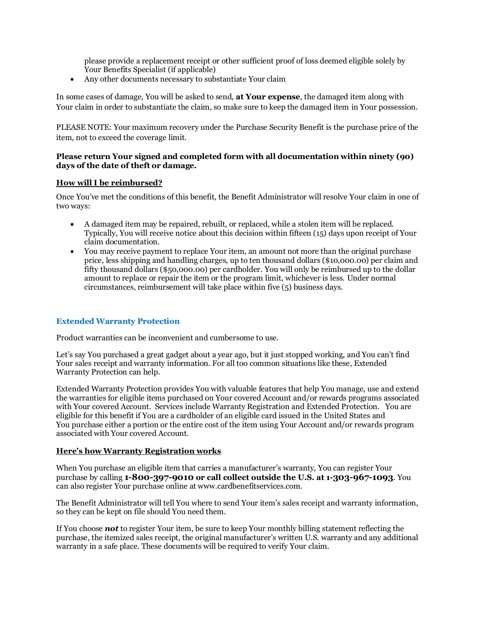please provide a replacement receipt or other sufficient proof of loss deemed eligible solely by Your Benefits Specialist (if applicable)

• Any other documents necessary to substantiate Your claim

In some cases of damage, You will be asked to send, **at Your expense**, the damaged item along with Your claim in order to substantiate the claim, so make sure to keep the damaged item in Your possession.

PLEASE NOTE: Your maximum recovery under the Purchase Security Benefit is the purchase price of the item, not to exceed the coverage limit.

### **Please return Your signed and completed form with all documentation within ninety (90) days of the date of theft or damage.**

### **How will I be reimbursed?**

Once You've met the conditions of this benefit, the Benefit Administrator will resolve Your claim in one of two ways:

- A damaged item may be repaired, rebuilt, or replaced, while a stolen item will be replaced. Typically, You will receive notice about this decision within fifteen (15) days upon receipt of Your claim documentation.
- You may receive payment to replace Your item, an amount not more than the original purchase price, less shipping and handling charges, up to ten thousand dollars (\$10,000.00) per claim and fifty thousand dollars (\$50,000.00) per cardholder. You will only be reimbursed up to the dollar amount to replace or repair the item or the program limit, whichever is less. Under normal circumstances, reimbursement will take place within five (5) business days.

## **Extended Warranty Protection**

Product warranties can be inconvenient and cumbersome to use.

Let's say You purchased a great gadget about a year ago, but it just stopped working, and You can't find Your sales receipt and warranty information. For all too common situations like these, Extended Warranty Protection can help.

Extended Warranty Protection provides You with valuable features that help You manage, use and extend the warranties for eligible items purchased on Your covered Account and/or rewards programs associated with Your covered Account. Services include Warranty Registration and Extended Protection. You are eligible for this benefit if You are a cardholder of an eligible card issued in the United States and You purchase either a portion or the entire cost of the item using Your Account and/or rewards program associated with Your covered Account.

#### **Here's how Warranty Registration works**

When You purchase an eligible item that carries a manufacturer's warranty, You can register Your purchase by calling **1-800-397-9010 or call collect outside the U.S. at 1-303-967-1093**. You can also register Your purchase online at www.cardbenefitservices.com.

The Benefit Administrator will tell You where to send Your item's sales receipt and warranty information, so they can be kept on file should You need them.

If You choose *not* to register Your item, be sure to keep Your monthly billing statement reflecting the purchase, the itemized sales receipt, the original manufacturer's written U.S. warranty and any additional warranty in a safe place. These documents will be required to verify Your claim.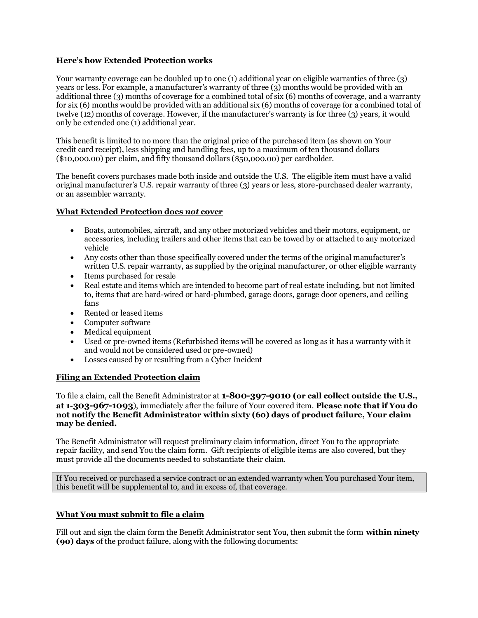## **Here's how Extended Protection works**

Your warranty coverage can be doubled up to one (1) additional year on eligible warranties of three (3) years or less. For example, a manufacturer's warranty of three  $(3)$  months would be provided with an additional three (3) months of coverage for a combined total of six (6) months of coverage, and a warranty for six (6) months would be provided with an additional six (6) months of coverage for a combined total of twelve (12) months of coverage. However, if the manufacturer's warranty is for three (3) years, it would only be extended one (1) additional year.

This benefit is limited to no more than the original price of the purchased item (as shown on Your credit card receipt), less shipping and handling fees, up to a maximum of ten thousand dollars (\$10,000.00) per claim, and fifty thousand dollars (\$50,000.00) per cardholder.

The benefit covers purchases made both inside and outside the U.S. The eligible item must have a valid original manufacturer's U.S. repair warranty of three (3) years or less, store-purchased dealer warranty, or an assembler warranty.

## **What Extended Protection does** *not* **cover**

- Boats, automobiles, aircraft, and any other motorized vehicles and their motors, equipment, or accessories, including trailers and other items that can be towed by or attached to any motorized vehicle
- Any costs other than those specifically covered under the terms of the original manufacturer's written U.S. repair warranty, as supplied by the original manufacturer, or other eligible warranty
- Items purchased for resale
- Real estate and items which are intended to become part of real estate including, but not limited to, items that are hard-wired or hard-plumbed, garage doors, garage door openers, and ceiling fans
- Rented or leased items
- Computer software
- Medical equipment
- Used or pre-owned items (Refurbished items will be covered as long as it has a warranty with it and would not be considered used or pre-owned)
- Losses caused by or resulting from a Cyber Incident

#### **Filing an Extended Protection claim**

To file a claim, call the Benefit Administrator at **1-800-397-9010 (or call collect outside the U.S., at 1-303-967-1093**), immediately after the failure of Your covered item. **Please note that if You do not notify the Benefit Administrator within sixty (60) days of product failure, Your claim may be denied.** 

The Benefit Administrator will request preliminary claim information, direct You to the appropriate repair facility, and send You the claim form. Gift recipients of eligible items are also covered, but they must provide all the documents needed to substantiate their claim.

If You received or purchased a service contract or an extended warranty when You purchased Your item, this benefit will be supplemental to, and in excess of, that coverage.

## **What You must submit to file a claim**

Fill out and sign the claim form the Benefit Administrator sent You, then submit the form **within ninety (90) days** of the product failure, along with the following documents: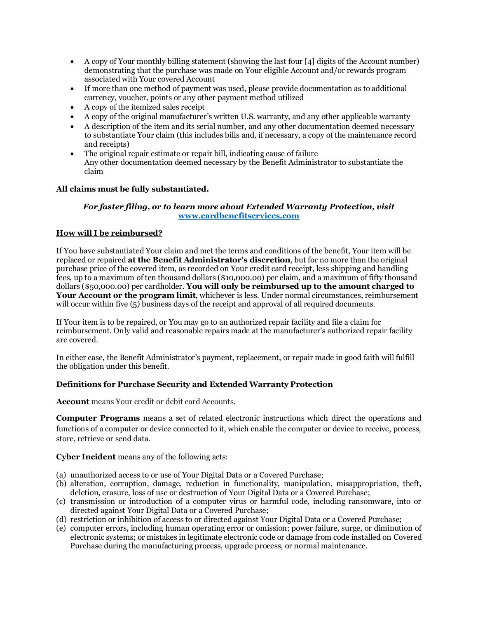- A copy of Your monthly billing statement (showing the last four [4] digits of the Account number) demonstrating that the purchase was made on Your eligible Account and/or rewards program associated with Your covered Account
- If more than one method of payment was used, please provide documentation as to additional currency, voucher, points or any other payment method utilized
- A copy of the itemized sales receipt
- A copy of the original manufacturer's written U.S. warranty, and any other applicable warranty
- A description of the item and its serial number, and any other documentation deemed necessary to substantiate Your claim (this includes bills and, if necessary, a copy of the maintenance record and receipts)
- The original repair estimate or repair bill, indicating cause of failure Any other documentation deemed necessary by the Benefit Administrator to substantiate the claim

# **All claims must be fully substantiated.**

### *For faster filing, or to learn more about Extended Warranty Protection, visit* **[www.cardbenefitservices.com](http://www.cardbenefitservices.com/)**

## **How will I be reimbursed?**

If You have substantiated Your claim and met the terms and conditions of the benefit, Your item will be replaced or repaired **at the Benefit Administrator's discretion**, but for no more than the original purchase price of the covered item, as recorded on Your credit card receipt, less shipping and handling fees, up to a maximum of ten thousand dollars (\$10,000.00) per claim, and a maximum of fifty thousand dollars (\$50,000.00) per cardholder. **You will only be reimbursed up to the amount charged to Your Account or the program limit**, whichever is less. Under normal circumstances, reimbursement will occur within five (5) business days of the receipt and approval of all required documents.

If Your item is to be repaired, or You may go to an authorized repair facility and file a claim for reimbursement. Only valid and reasonable repairs made at the manufacturer's authorized repair facility are covered.

In either case, the Benefit Administrator's payment, replacement, or repair made in good faith will fulfill the obligation under this benefit.

## **Definitions for Purchase Security and Extended Warranty Protection**

**Account** means Your credit or debit card Accounts.

**Computer Programs** means a set of related electronic instructions which direct the operations and functions of a computer or device connected to it, which enable the computer or device to receive, process, store, retrieve or send data.

**Cyber Incident** means any of the following acts:

- (a) unauthorized access to or use of Your Digital Data or a Covered Purchase;
- (b) alteration, corruption, damage, reduction in functionality, manipulation, misappropriation, theft, deletion, erasure, loss of use or destruction of Your Digital Data or a Covered Purchase;
- (c) transmission or introduction of a computer virus or harmful code, including ransomware, into or directed against Your Digital Data or a Covered Purchase;
- (d) restriction or inhibition of access to or directed against Your Digital Data or a Covered Purchase;
- (e) computer errors, including human operating error or omission; power failure, surge, or diminution of electronic systems; or mistakes in legitimate electronic code or damage from code installed on Covered Purchase during the manufacturing process, upgrade process, or normal maintenance.